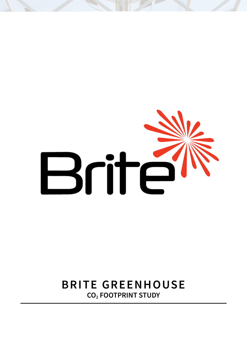# Brite

# **BRITE GREENHOUSE CO2 FOOTPRINT STUDY**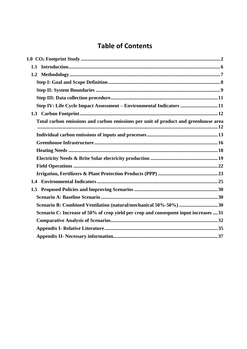# **Table of Contents**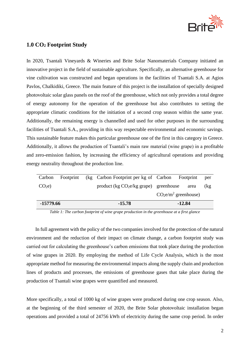

### <span id="page-2-0"></span>**1.0 CO<sup>2</sup> Footprint Study**

In 2020, Tsantali Vineyards & Wineries and Brite Solar Nanomaterials Company initiated an innovative project in the field of sustainable agriculture. Specifically, an alternative greenhouse for vine cultivation was constructed and began operations in the facilities of Tsantali S.A. at Agios Pavlos, Chalkidiki, Greece. The main feature of this project is the installation of specially designed photovoltaic solar glass panels on the roof of the greenhouse, which not only provides a total degree of energy autonomy for the operation of the greenhouse but also contributes to setting the appropriate climatic conditions for the initiation of a second crop season within the same year. Additionally, the remaining energy is channelled and used for other purposes in the surrounding facilities of Tsantali S.A., providing in this way respectable environmental and economic savings. This sustainable feature makes this particular greenhouse one of the first in this category in Greece. Additionally, it allows the production of Tsantali's main raw material (wine grape) in a profitable and zero-emission fashion, by increasing the efficiency of agricultural operations and providing energy neutrality throughout the production line.

| -15779.66         |  | $-15.78$                                                  | $-12.84$              |      |
|-------------------|--|-----------------------------------------------------------|-----------------------|------|
|                   |  |                                                           | $CO2e/m2$ greenhouse) |      |
| CO <sub>2</sub> e |  | product $(kg CO2e/kg$ <i>grape</i> ) <i>greenhouse</i>    | area                  | (kg) |
| Carbon            |  | Footprint (kg Carbon Footprint per kg of Carbon Footprint |                       | per  |

*Table 1: The carbon footprint of wine grape production in the greenhouse at a first glance*

In full agreement with the policy of the two companies involved for the protection of the natural environment and the reduction of their impact on climate change, a carbon footprint study was carried out for calculating the greenhouse's carbon emissions that took place during the production of wine grapes in 2020. By employing the method of Life Cycle Analysis, which is the most appropriate method for measuring the environmental impacts along the supply chain and production lines of products and processes, the emissions of greenhouse gases that take place during the production of Tsantali wine grapes were quantified and measured.

More specifically, a total of 1000 kg of wine grapes were produced during one crop season. Also, at the beginning of the third semester of 2020, the Brite Solar photovoltaic installation began operations and provided a total of 24756 kWh of electricity during the same crop period. In order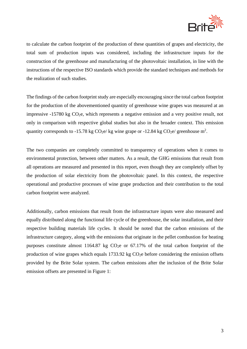

to calculate the carbon footprint of the production of these quantities of grapes and electricity, the total sum of production inputs was considered, including the infrastructure inputs for the construction of the greenhouse and manufacturing of the photovoltaic installation, in line with the instructions of the respective ISO standards which provide the standard techniques and methods for the realization of such studies.

The findings of the carbon footprint study are especially encouraging since the total carbon footprint for the production of the abovementioned quantity of greenhouse wine grapes was measured at an impressive  $-15780$  kg  $CO<sub>2</sub>e$ , which represents a negative emission and a very positive result, not only in comparison with respective global studies but also in the broader context. This emission quantity corresponds to -15.78 kg  $CO<sub>2</sub>e$ / kg wine grape or -12.84 kg  $CO<sub>2</sub>e$ / greenhouse m<sup>2</sup>.

The two companies are completely committed to transparency of operations when it comes to environmental protection, between other matters. As a result, the GHG emissions that result from all operations are measured and presented in this report, even though they are completely offset by the production of solar electricity from the photovoltaic panel. In this context, the respective operational and productive processes of wine grape production and their contribution to the total carbon footprint were analyzed.

Additionally, carbon emissions that result from the infrastructure inputs were also measured and equally distributed along the functional life cycle of the greenhouse, the solar installation, and their respective building materials life cycles. It should be noted that the carbon emissions of the infrastructure category, along with the emissions that originate in the pellet combustion for heating purposes constitute almost 1164.87 kg  $CO<sub>2</sub>e$  or 67.17% of the total carbon footprint of the production of wine grapes which equals  $1733.92$  kg  $CO<sub>2</sub>e$  before considering the emission offsets provided by the Brite Solar system. The carbon emissions after the inclusion of the Brite Solar emission offsets are presented in Figure 1: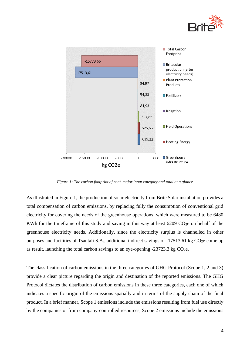



*Figure 1: The carbon footprint of each major input category and total at a glance*

As illustrated in Figure 1, the production of solar electricity from Brite Solar installation provides a total compensation of carbon emissions, by replacing fully the consumption of conventional grid electricity for covering the needs of the greenhouse operations, which were measured to be 6480 KWh for the timeframe of this study and saving in this way at least  $6209 \text{ CO}_2$ e on behalf of the greenhouse electricity needs. Additionally, since the electricity surplus is channelled in other purposes and facilities of Tsantali S.A., additional indirect savings of -17513.61 kg CO<sub>2</sub>e come up as result, launching the total carbon savings to an eye-opening  $-23723.3$  kg CO<sub>2</sub>e.

The classification of carbon emissions in the three categories of GHG Protocol (Scope 1, 2 and 3) provide a clear picture regarding the origin and destination of the reported emissions. The GHG Protocol dictates the distribution of carbon emissions in these three categories, each one of which indicates a specific origin of the emissions spatially and in terms of the supply chain of the final product. In a brief manner, Scope 1 emissions include the emissions resulting from fuel use directly by the companies or from company-controlled resources, Scope 2 emissions include the emissions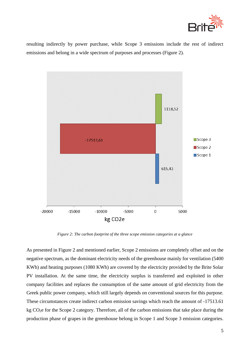

resulting indirectly by power purchase, while Scope 3 emissions include the rest of indirect emissions and belong in a wide spectrum of purposes and processes (Figure 2).



*Figure 2: The carbon footprint of the three scope emission categories at a glance*

As presented in Figure 2 and mentioned earlier, Scope 2 emissions are completely offset and on the negative spectrum, as the dominant electricity needs of the greenhouse mainly for ventilation (5400 KWh) and heating purposes (1080 KWh) are covered by the electricity provided by the Brite Solar PV installation. At the same time, the electricity surplus is transferred and exploited in other company facilities and replaces the consumption of the same amount of grid electricity from the Greek public power company, which still largely depends on conventional sources for this purpose. These circumstances create indirect carbon emission savings which reach the amount of -17513.61 kg CO2e for the Scope 2 category. Therefore, all of the carbon emissions that take place during the production phase of grapes in the greenhouse belong in Scope 1 and Scope 3 emission categories.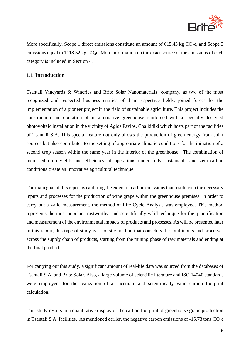

More specifically, Scope 1 direct emissions constitute an amount of  $615.43$  kg CO<sub>2</sub>e, and Scope 3 emissions equal to 1118.52 kg  $CO<sub>2</sub>e$ . More information on the exact source of the emissions of each category is included in Section 4.

### <span id="page-6-0"></span>**1.1 Introduction**

Tsantali Vineyards & Wineries and Brite Solar Nanomaterials' company, as two of the most recognized and respected business entities of their respective fields, joined forces for the implementation of a pioneer project in the field of sustainable agriculture. This project includes the construction and operation of an alternative greenhouse reinforced with a specially designed photovoltaic installation in the vicinity of Agios Pavlos, Chalkidiki which hosts part of the facilities of Tsantali S.A. This special feature not only allows the production of green energy from solar sources but also contributes to the setting of appropriate climatic conditions for the initiation of a second crop season within the same year in the interior of the greenhouse. The combination of increased crop yields and efficiency of operations under fully sustainable and zero-carbon conditions create an innovative agricultural technique.

The main goal of this report is capturing the extent of carbon emissions that result from the necessary inputs and processes for the production of wine grape within the greenhouse premises. In order to carry out a valid measurement, the method of Life Cycle Analysis was employed. This method represents the most popular, trustworthy, and scientifically valid technique for the quantification and measurement of the environmental impacts of products and processes. As will be presented later in this report, this type of study is a holistic method that considers the total inputs and processes across the supply chain of products, starting from the mining phase of raw materials and ending at the final product.

For carrying out this study, a significant amount of real-life data was sourced from the databases of Tsantali S.A. and Brite Solar. Also, a large volume of scientific literature and ISO 14040 standards were employed, for the realization of an accurate and scientifically valid carbon footprint calculation.

This study results in a quantitative display of the carbon footprint of greenhouse grape production in Tsantali S.A. facilities. As mentioned earlier, the negative carbon emissions of  $-15.78$  tons  $CO<sub>2</sub>e$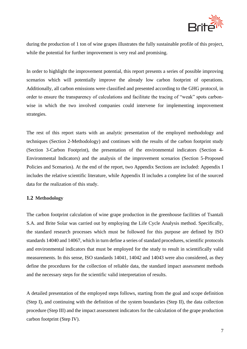

during the production of 1 ton of wine grapes illustrates the fully sustainable profile of this project, while the potential for further improvement is very real and promising.

In order to highlight the improvement potential, this report presents a series of possible improving scenarios which will potentially improve the already low carbon footprint of operations. Additionally, all carbon emissions were classified and presented according to the GHG protocol, in order to ensure the transparency of calculations and facilitate the tracing of "weak" spots carbonwise in which the two involved companies could intervene for implementing improvement strategies.

The rest of this report starts with an analytic presentation of the employed methodology and techniques (Section 2-Methodology) and continues with the results of the carbon footprint study (Section 3-Carbon Footprint), the presentation of the environmental indicators (Section 4- Environmental Indicators) and the analysis of the improvement scenarios (Section 5-Proposed Policies and Scenarios). At the end of the report, two Appendix Sections are included: Appendix I includes the relative scientific literature, while Appendix II includes a complete list of the sourced data for the realization of this study.

### <span id="page-7-0"></span>**1.2 Methodology**

The carbon footprint calculation of wine grape production in the greenhouse facilities of Tsantali S.A. and Brite Solar was carried out by employing the Life Cycle Analysis method. Specifically, the standard research processes which must be followed for this purpose are defined by ISO standards 14040 and 14067, which in turn define a series of standard procedures, scientific protocols and environmental indicators that must be employed for the study to result in scientifically valid measurements. In this sense, ISO standards 14041, 14042 and 14043 were also considered, as they define the procedures for the collection of reliable data, the standard impact assessment methods and the necessary steps for the scientific valid interpretation of results.

A detailed presentation of the employed steps follows, starting from the goal and scope definition (Step I), and continuing with the definition of the system boundaries (Step II), the data collection procedure (Step III) and the impact assessment indicators for the calculation of the grape production carbon footprint (Step IV).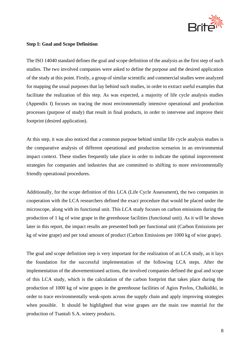

### <span id="page-8-0"></span>**Step I: Goal and Scope Definition**

The ISO 14040 standard defines the goal and scope definition of the analysis as the first step of such studies. The two involved companies were asked to define the purpose and the desired application of the study at this point. Firstly, a group of similar scientific and commercial studies were analyzed for mapping the usual purposes that lay behind such studies, in order to extract useful examples that facilitate the realization of this step. As was expected, a majority of life cycle analysis studies (Appendix I) focuses on tracing the most environmentally intensive operational and production processes (purpose of study) that result in final products, in order to intervene and improve their footprint (desired application).

At this step, it was also noticed that a common purpose behind similar life cycle analysis studies is the comparative analysis of different operational and production scenarios in an environmental impact context. These studies frequently take place in order to indicate the optimal improvement strategies for companies and industries that are committed to shifting to more environmentally friendly operational procedures.

Additionally, for the scope definition of this LCA (Life Cycle Assessment), the two companies in cooperation with the LCA researchers defined the exact procedure that would be placed under the microscope, along with its functional unit. This LCA study focuses on carbon emissions during the production of 1 kg of wine grape in the greenhouse facilities (functional unit). As it will be shown later in this report, the impact results are presented both per functional unit (Carbon Emissions per kg of wine grape) and per total amount of product (Carbon Emissions per 1000 kg of wine grape).

The goal and scope definition step is very important for the realization of an LCA study, as it lays the foundation for the successful implementation of the following LCA steps. After the implementation of the abovementioned actions, the involved companies defined the goal and scope of this LCA study, which is the calculation of the carbon footprint that takes place during the production of 1000 kg of wine grapes in the greenhouse facilities of Agios Pavlos, Chalkidiki, in order to trace environmentally weak-spots across the supply chain and apply improving strategies when possible. It should be highlighted that wine grapes are the main raw material for the production of Tsantali S.A. winery products.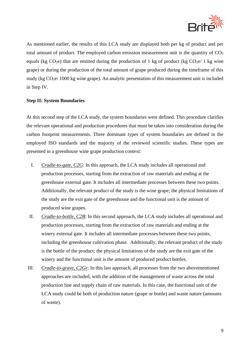

As mentioned earlier, the results of this LCA study are displayed both per kg of product and per total amount of product. The employed carbon emission measurement unit is the quantity of  $CO<sub>2</sub>$ equals (kg  $CO<sub>2</sub>e$ ) that are emitted during the production of 1 kg of product (kg  $CO<sub>2</sub>e/1$  kg wine grape) or during the production of the total amount of grape produced during the timeframe of this study (kg  $CO<sub>2</sub>e/1000$  kg wine grape). An analytic presentation of this measurement unit is included in Step IV.

### <span id="page-9-0"></span>**Step II: System Boundaries**

At this second step of the LCA study, the system boundaries were defined. This procedure clarifies the relevant operational and production procedures that must be taken into consideration during the carbon footprint measurements. Three dominant types of system boundaries are defined in the employed ISO standards and the majority of the reviewed scientific studies. These types are presented in a greenhouse wine grape production context:

- I. *Cradle-to-gate, C2G*: In this approach, the LCA study includes all operational and production processes, starting from the extraction of raw materials and ending at the greenhouse external gate. It includes all intermediate processes between these two points. Additionally, the relevant product of the study is the wine grape; the physical limitations of the study are the exit gate of the greenhouse and the functional unit is the amount of produced wine grapes.
- II. *Cradle-to-bottle, C2B*: In this second approach, the LCA study includes all operational and production processes, starting from the extraction of raw materials and ending at the winery external gate. It includes all intermediate processes between these two points, including the greenhouse cultivation phase. Additionally, the relevant product of the study is the bottle of the product; the physical limitations of the study are the exit gate of the winery and the functional unit is the amount of produced product bottles.
- III. *Cradle-to-grave, C2Gr*: In this last approach, all processes from the two abovementioned approaches are included, with the addition of the management of waste across the total production line and supply chain of raw materials. In this case, the functional unit of the LCA study could be both of production nature (grape or bottle) and waste nature (amounts of waste).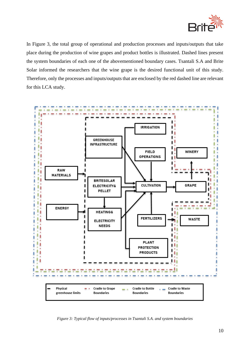

In Figure 3, the total group of operational and production processes and inputs/outputs that take place during the production of wine grapes and product bottles is illustrated. Dashed lines present the system boundaries of each one of the abovementioned boundary cases. Tsantali S.A and Brite Solar informed the researchers that the wine grape is the desired functional unit of this study. Therefore, only the processes and inputs/outputs that are enclosed by the red dashed line are relevant for this LCA study.



*Figure 3: Typical flow of inputs/processes in Tsantali S.A. and system boundaries*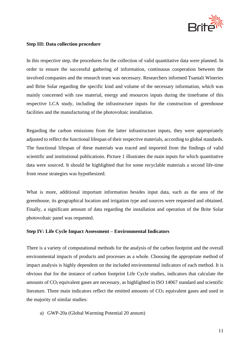

### <span id="page-11-0"></span>**Step III: Data collection procedure**

In this respective step, the procedures for the collection of valid quantitative data were planned. In order to ensure the successful gathering of information, continuous cooperation between the involved companies and the research team was necessary. Researchers informed Tsantali Wineries and Brite Solar regarding the specific kind and volume of the necessary information, which was mainly concerned with raw material, energy and resources inputs during the timeframe of this respective LCA study, including the infrastructure inputs for the construction of greenhouse facilities and the manufacturing of the photovoltaic installation.

Regarding the carbon emissions from the latter infrastructure inputs, they were appropriately adjusted to reflect the functional lifespan of their respective materials, according to global standards. The functional lifespan of these materials was traced and imported from the findings of valid scientific and institutional publications. Picture 1 illustrates the main inputs for which quantitative data were sourced. It should be highlighted that for some recyclable materials a second life-time from reuse strategies was hypothesized.

What is more, additional important information besides input data, such as the area of the greenhouse, its geographical location and irrigation type and sources were requested and obtained. Finally, a significant amount of data regarding the installation and operation of the Brite Solar photovoltaic panel was requested.

### <span id="page-11-1"></span>**Step IV: Life Cycle Impact Assessment – Environmental Indicators**

There is a variety of computational methods for the analysis of the carbon footprint and the overall environmental impacts of products and processes as a whole. Choosing the appropriate method of impact analysis is highly dependent on the included environmental indicators of each method. It is obvious that for the instance of carbon footprint Life Cycle studies, indicators that calculate the amounts of CO2 equivalent gases are necessary, as highlighted in ISO 14067 standard and scientific literature. Three main indicators reflect the emitted amounts of  $CO<sub>2</sub>$  equivalent gases and used in the majority of similar studies:

a) GWP-20a (Global Warming Potential 20 annum)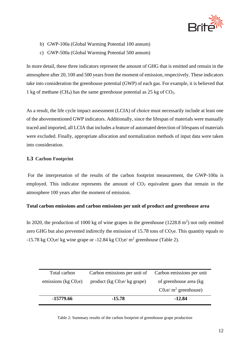

- b) GWP-100a (Global Warming Potential 100 annum)
- c) GWP-500a (Global Warming Potential 500 annum)

In more detail, these three indicators represent the amount of GHG that is emitted and remain in the atmosphere after 20, 100 and 500 years from the moment of emission, respectively. These indicators take into consideration the greenhouse potential (GWP) of each gas. For example, it is believed that 1 kg of methane (CH<sub>4</sub>) has the same greenhouse potential as  $25 \text{ kg}$  of CO<sub>2</sub>.

As a result, the life cycle impact assessment (LCIA) of choice must necessarily include at least one of the abovementioned GWP indicators. Additionally, since the lifespan of materials were manually traced and imported, all LCIA that includes a feature of automated detection of lifespans of materials were excluded. Finally, appropriate allocation and normalization methods of input data were taken into consideration.

### <span id="page-12-0"></span>**1.3 Carbon Footprint**

For the interpretation of the results of the carbon footprint measurement, the GWP-100a is employed. This indicator represents the amount of  $CO<sub>2</sub>$  equivalent gases that remain in the atmosphere 100 years after the moment of emission.

### <span id="page-12-1"></span>**Total carbon emissions and carbon emissions per unit of product and greenhouse area**

In 2020, the production of 1000 kg of wine grapes in the greenhouse  $(1228.8 \text{ m}^2)$  not only emitted zero GHG but also prevented indirectly the emission of 15.78 tons of  $CO<sub>2</sub>e$ . This quantity equals to -15.78 kg CO<sub>2</sub>e/ kg wine grape or -12.84 kg CO<sub>2</sub>e/ m<sup>2</sup> greenhouse (Table 2).

| Total carbon           | Carbon emissions per unit of Carbon emissions per unit |                         |
|------------------------|--------------------------------------------------------|-------------------------|
| emissions (kg $C02e$ ) | product (kg $C02e/kg$ grape)                           | of greenhouse area (kg) |
|                        |                                                        | $C02e/m2$ greenhouse)   |
| -15779.66              | $-15.78$                                               | $-12.84$                |

Table 2: Summary results of the carbon footprint of greenhouse grape production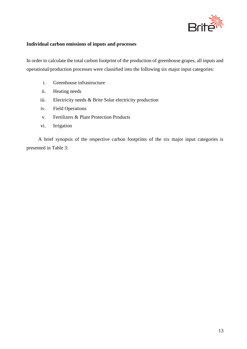

### <span id="page-13-0"></span>**Individual carbon emissions of inputs and processes**

In order to calculate the total carbon footprint of the production of greenhouse grapes, all inputs and operational/production processes were classified into the following six major input categories:

- i. Greenhouse infrastructure
- ii. Heating needs
- iii. Electricity needs & Brite Solar electricity production
- iv. Field Operations
- v. Fertilizers & Plant Protection Products
- vi. Irrigation

A brief synopsis of the respective carbon footprints of the six major input categories is presented in Table 3: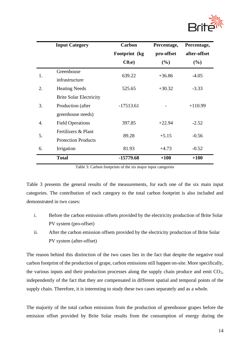

|    | <b>Input Category</b>          | <b>Carbon</b>     | Percentage, | Percentage,  |  |
|----|--------------------------------|-------------------|-------------|--------------|--|
|    |                                | Footprint (kg)    | pro-offset  | after-offset |  |
|    |                                | C0 <sub>2</sub> e | (%)         | (%)          |  |
| 1. | Greenhouse                     | 639.22            | $+36.86$    |              |  |
|    | infrastructure                 |                   |             | $-4.05$      |  |
| 2. | <b>Heating Needs</b>           | 525.65            | $+30.32$    | $-3.33$      |  |
|    | <b>Brite Solar Electricity</b> |                   |             |              |  |
| 3. | Production (after              | $-17513.61$       |             | $+110.99$    |  |
|    | greenhouse needs)              |                   |             |              |  |
| 4. | <b>Field Operations</b>        | 397.85            | $+22.94$    | $-2.52$      |  |
|    | Fertilizers & Plant            |                   |             |              |  |
| 5. | <b>Protection Products</b>     | 89.28             | $+5.15$     | $-0.56$      |  |
| 6. | Irrigation                     | 81.93             | $+4.73$     | $-0.52$      |  |
|    | <b>Total</b>                   | $-15779.68$       | $+100$      | $+100$       |  |

Table 3: Carbon footprints of the six major input categories

Table 3 presents the general results of the measurements, for each one of the six main input categories. The contribution of each category to the total carbon footprint is also included and demonstrated in two cases:

- i. Before the carbon emission offsets provided by the electricity production of Brite Solar PV system (pro-offset)
- ii. After the carbon emission offsets provided by the electricity production of Brite Solar PV system (after-offset)

The reason behind this distinction of the two cases lies in the fact that despite the negative total carbon footprint of the production of grape, carbon emissions still happen on-site. More specifically, the various inputs and their production processes along the supply chain produce and emit  $CO<sub>2</sub>$ , independently of the fact that they are compensated in different spatial and temporal points of the supply chain. Therefore, it is interesting to study these two cases separately and as a whole.

The majority of the total carbon emissions from the production of greenhouse grapes before the emission offset provided by Brite Solar results from the consumption of energy during the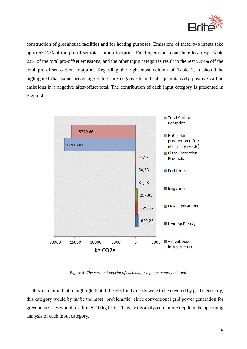

construction of greenhouse facilities and for heating purposes. Emissions of these two inputs take up to 67.17% of the pro-offset total carbon footprint. Field operations contribute to a respectable 23% of the total pro-offset emissions, and the other input categories result to the rest 9.89% off the total pro-offset carbon footprint. Regarding the right-most column of Table 3, it should be highlighted that some percentage values are negative to indicate quantitatively positive carbon emissions in a negative after-offset total. The contribution of each input category is presented in Figure 4:



*Figure 4: The carbon footprint of each major input category and total*

It is also important to highlight that if the electricity needs were to be covered by grid electricity, this category would by far be the most "problematic" since conventional grid power generation for greenhouse uses would result in  $6210 \text{ kg CO}_2$ . This fact is analyzed in more depth in the upcoming analysis of each input category.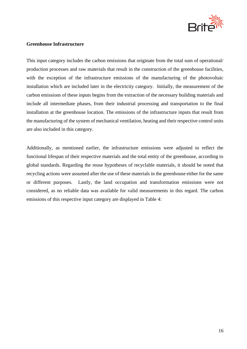

### <span id="page-16-0"></span>**Greenhouse Infrastructure**

This input category includes the carbon emissions that originate from the total sum of operational/ production processes and raw materials that result in the construction of the greenhouse facilities, with the exception of the infrastructure emissions of the manufacturing of the photovoltaic installation which are included later in the electricity category. Initially, the measurement of the carbon emissions of these inputs begins from the extraction of the necessary building materials and include all intermediate phases, from their industrial processing and transportation to the final installation at the greenhouse location. The emissions of the infrastructure inputs that result from the manufacturing of the system of mechanical ventilation, heating and their respective control units are also included in this category.

Additionally, as mentioned earlier, the infrastructure emissions were adjusted to reflect the functional lifespan of their respective materials and the total entity of the greenhouse, according to global standards. Regarding the reuse hypotheses of recyclable materials, it should be noted that recycling actions were assumed after the use of these materials in the greenhouse either for the same or different purposes. Lastly, the land occupation and transformation emissions were not considered, as no reliable data was available for valid measurements in this regard. The carbon emissions of this respective input category are displayed in Table 4: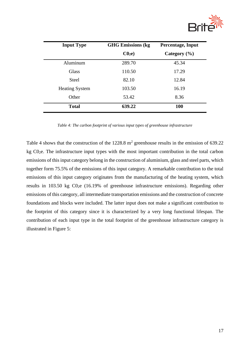

| <b>Input Type</b>     | <b>GHG Emissions (kg)</b> | <b>Percentage, Input</b> |  |
|-----------------------|---------------------------|--------------------------|--|
|                       | C0 <sub>2</sub> e         | Category $(\% )$         |  |
| Aluminum              | 289.70                    | 45.34                    |  |
| <b>Glass</b>          | 110.50                    | 17.29                    |  |
| <b>Steel</b>          | 82.10                     | 12.84                    |  |
| <b>Heating System</b> | 103.50                    | 16.19                    |  |
| Other                 | 53.42                     | 8.36                     |  |
| <b>Total</b>          | 639.22                    | 100                      |  |

*Table 4: The carbon footprint of various input types of greenhouse infrastructure*

Table 4 shows that the construction of the  $1228.8 \text{ m}^2$  greenhouse results in the emission of 639.22 kg C02e. The infrastructure input types with the most important contribution in the total carbon emissions of this input category belong in the construction of aluminium, glass and steel parts, which together form 75.5% of the emissions of this input category. A remarkable contribution to the total emissions of this input category originates from the manufacturing of the heating system, which results in 103.50 kg C02e (16.19% of greenhouse infrastructure emissions). Regarding other emissions of this category, all intermediate transportation emissions and the construction of concrete foundations and blocks were included. The latter input does not make a significant contribution to the footprint of this category since it is characterized by a very long functional lifespan. The contribution of each input type in the total footprint of the greenhouse infrastructure category is illustrated in Figure 5: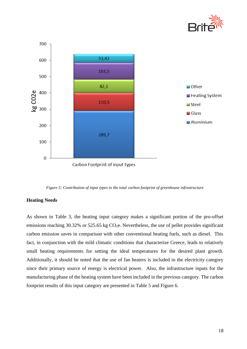



*Figure 5: Contribution of input types to the total carbon footprint of greenhouse infrastructure*

### <span id="page-18-0"></span>**Heating Needs**

As shown in Table 3, the heating input category makes a significant portion of the pro-offset emissions reaching 30.32% or 525.65 kg  $CO<sub>2</sub>e$ . Nevertheless, the use of pellet provides significant carbon emission saves in comparison with other conventional heating fuels, such as diesel. This fact, in conjunction with the mild climatic conditions that characterize Greece, leads to relatively small heating requirements for setting the ideal temperatures for the desired plant growth. Additionally, it should be noted that the use of fan heaters is included in the electricity category since their primary source of energy is electrical power. Also, the infrastructure inputs for the manufacturing phase of the heating system have been included in the previous category. The carbon footprint results of this input category are presented in Table 5 and Figure 6.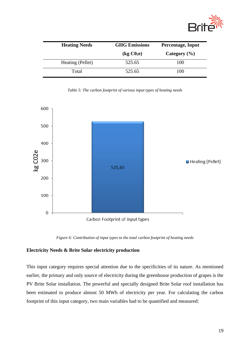

| <b>Heating Needs</b> | <b>GHG Emissions</b>                    | <b>Percentage, Input</b> |  |
|----------------------|-----------------------------------------|--------------------------|--|
|                      | $\left(\text{kg }CO_{2}\text{e}\right)$ | Category $(\% )$         |  |
| Heating (Pellet)     | 525.65                                  | 100                      |  |
| Total                | 525.65                                  | 100                      |  |

*Table 5: The carbon footprint of various input types of heating needs*



*Figure 6: Contribution of input types to the total carbon footprint of heating needs*

### <span id="page-19-0"></span>**Electricity Needs & Brite Solar electricity production**

This input category requires special attention due to the specificities of its nature. As mentioned earlier, the primary and only source of electricity during the greenhouse production of grapes is the PV Brite Solar installation. The powerful and specially designed Brite Solar roof installation has been estimated to produce almost 50 MWh of electricity per year. For calculating the carbon footprint of this input category, two main variables had to be quantified and measured: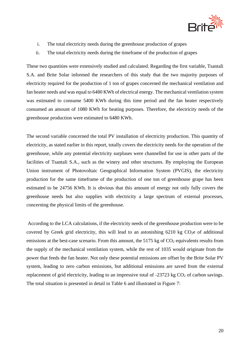

- i. The total electricity needs during the greenhouse production of grapes
- ii. The total electricity needs during the timeframe of the production of grapes

These two quantities were extensively studied and calculated. Regarding the first variable, Tsantali S.A. and Brite Solar informed the researchers of this study that the two majority purposes of electricity required for the production of 1 ton of grapes concerned the mechanical ventilation and fan heater needs and was equal to 6480 KWh of electrical energy. The mechanical ventilation system was estimated to consume 5400 KWh during this time period and the fan heater respectively consumed an amount of 1080 KWh for heating purposes. Therefore, the electricity needs of the greenhouse production were estimated to 6480 KWh.

The second variable concerned the total PV installation of electricity production. This quantity of electricity, as stated earlier in this report, totally covers the electricity needs for the operation of the greenhouse, while any potential electricity surpluses were channelled for use in other parts of the facilities of Tsantali S.A., such as the winery and other structures. By employing the European Union instrument of Photovoltaic Geographical Information System (PVGIS), the electricity production for the same timeframe of the production of one ton of greenhouse grape has been estimated to be 24756 KWh. It is obvious that this amount of energy not only fully covers the greenhouse needs but also supplies with electricity a large spectrum of external processes, concerning the physical limits of the greenhouse.

According to the LCA calculations, if the electricity needs of the greenhouse production were to be covered by Greek grid electricity, this will lead to an astonishing  $6210 \text{ kg } CO<sub>2</sub>e$  of additional emissions at the best-case scenario. From this amount, the  $5175 \text{ kg}$  of  $\text{CO}_2$  equivalents results from the supply of the mechanical ventilation system, while the rest of 1035 would originate from the power that feeds the fan heater. Not only these potential emissions are offset by the Brite Solar PV system, leading to zero carbon emissions, but additional emissions are saved from the external replacement of grid electricity, leading to an impressive total of  $-23723$  kg  $CO<sub>2</sub>$  of carbon savings. The total situation is presented in detail in Table 6 and illustrated in Figure 7: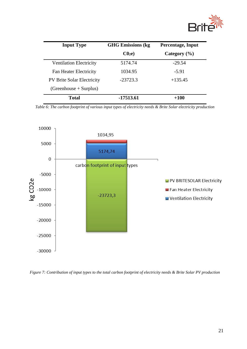

| <b>Input Type</b>                 | <b>GHG Emissions (kg</b> | <b>Percentage, Input</b> |
|-----------------------------------|--------------------------|--------------------------|
|                                   | C <sub>02</sub> e        | Category $(\% )$         |
| <b>Ventilation Electricity</b>    | 5174.74                  | $-29.54$                 |
| <b>Fan Heater Electricity</b>     | 1034.95                  | $-5.91$                  |
| <b>PV Brite Solar Electricity</b> | $-23723.3$               | $+135.45$                |
| $(Greenhouse + Surplus)$          |                          |                          |
| <b>Total</b>                      | -17513.61                | $+100$                   |

*Table 6: The carbon footprint of various input types of electricity needs & Brite Solar electricity production*



*Figure 7: Contribution of input types to the total carbon footprint of electricity needs & Brite Solar PV production*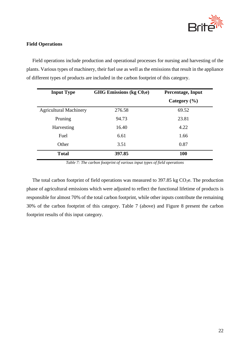

### <span id="page-22-0"></span>**Field Operations**

Field operations include production and operational processes for nursing and harvesting of the plants. Various types of machinery, their fuel use as well as the emissions that result in the appliance of different types of products are included in the carbon footprint of this category.

| <b>Input Type</b>             | GHG Emissions (kg C02e) | Percentage, Input |
|-------------------------------|-------------------------|-------------------|
|                               |                         | Category $(\% )$  |
| <b>Agricultural Machinery</b> | 276.58                  | 69.52             |
| Pruning                       | 94.73                   | 23.81             |
| Harvesting                    | 16.40                   | 4.22              |
| Fuel                          | 6.61                    | 1.66              |
| Other                         | 3.51                    | 0.87              |
| <b>Total</b>                  | 397.85                  | 100               |

*Table 7: The carbon footprint of various input types of field operations*

The total carbon footprint of field operations was measured to 397.85 kg  $CO<sub>2</sub>e$ . The production phase of agricultural emissions which were adjusted to reflect the functional lifetime of products is responsible for almost 70% of the total carbon footprint, while other inputs contribute the remaining 30% of the carbon footprint of this category. Table 7 (above) and Figure 8 present the carbon footprint results of this input category.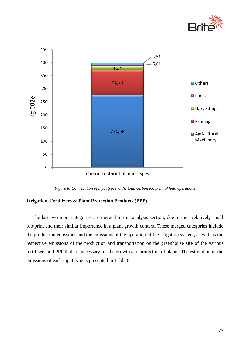



*Figure 8: Contribution of input types to the total carbon footprint of field operations*

### <span id="page-23-0"></span>**Irrigation, Fertilizers & Plant Protection Products (PPP)**

The last two input categories are merged in this analysis section, due to their relatively small footprint and their similar importance in a plant growth context. These merged categories include the production emissions and the emissions of the operation of the irrigation system, as well as the respective emissions of the production and transportation on the greenhouse site of the various fertilizers and PPP that are necessary for the growth and protection of plants. The estimation of the emissions of each input type is presented in Table 8: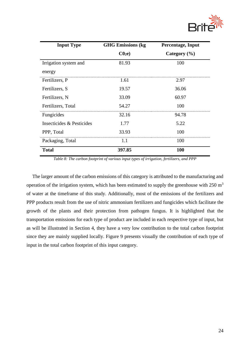

| <b>Input Type</b>         | <b>GHG Emissions (kg</b> | Percentage, Input |
|---------------------------|--------------------------|-------------------|
|                           | C0 <sub>2</sub> e        | Category $(\% )$  |
| Irrigation system and     | 81.93                    | 100               |
| energy                    |                          |                   |
| Fertilizers, P            | 1.61                     | 2.97              |
| Fertilizers, S            | 19.57                    | 36.06             |
| Fertilizers, N            | 33.09                    | 60.97             |
| Fertilizers, Total        | 54.27                    | 100               |
| Fungicides                | 32.16                    | 94.78             |
| Insecticides & Pesticides | 1.77                     | 5.22              |
| PPP, Total                | 33.93                    | 100               |
| Packaging, Total          | 1.1                      | 100               |
| <b>Total</b>              | 397.85                   | 100               |

*Table 8: The carbon footprint of various input types of irrigation, fertilizers, and PPP*

The larger amount of the carbon emissions of this category is attributed to the manufacturing and operation of the irrigation system, which has been estimated to supply the greenhouse with  $250 \text{ m}^3$ of water at the timeframe of this study. Additionally, most of the emissions of the fertilizers and PPP products result from the use of nitric ammonium fertilizers and fungicides which facilitate the growth of the plants and their protection from pathogen fungus. It is highlighted that the transportation emissions for each type of product are included in each respective type of input, but as will be illustrated in Section 4, they have a very low contribution to the total carbon footprint since they are mainly supplied locally. Figure 9 presents visually the contribution of each type of input in the total carbon footprint of this input category.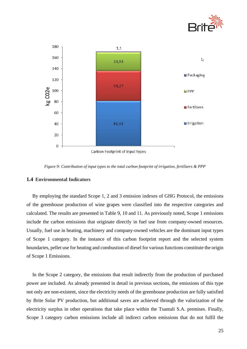



*Figure 9: Contribution of input types to the total carbon footprint of irrigation, fertilizers & PPP*

### <span id="page-25-0"></span>**1.4 Environmental Indicators**

By employing the standard Scope 1, 2 and 3 emission indexes of GHG Protocol, the emissions of the greenhouse production of wine grapes were classified into the respective categories and calculated. The results are presented in Table 9, 10 and 11. As previously noted, Scope 1 emissions include the carbon emissions that originate directly in fuel use from company-owned resources. Usually, fuel use in heating, machinery and company-owned vehicles are the dominant input types of Scope 1 category. In the instance of this carbon footprint report and the selected system boundaries, pellet use for heating and combustion of diesel for various functions constitute the origin of Scope 1 Emissions.

In the Scope 2 category, the emissions that result indirectly from the production of purchased power are included. As already presented in detail in previous sections, the emissions of this type not only are non-existent, since the electricity needs of the greenhouse production are fully satisfied by Brite Solar PV production, but additional saves are achieved through the valorization of the electricity surplus in other operations that take place within the Tsantali S.A. premises. Finally, Scope 3 category carbon emissions include all indirect carbon emissions that do not fulfil the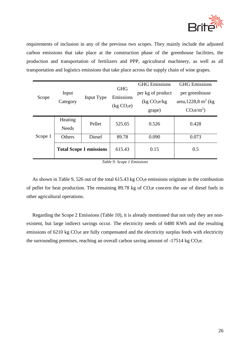

requirements of inclusion in any of the previous two scopes. They mainly include the adjusted carbon emissions that take place at the construction phase of the greenhouse facilities, the production and transportation of fertilizers and PPP, agricultural machinery, as well as all transportation and logistics emissions that take place across the supply chain of wine grapes.

| Scope   |                   |                                | <b>GHG</b>             | <b>GHG</b> Emissions      | <b>GHG</b> Emissions               |
|---------|-------------------|--------------------------------|------------------------|---------------------------|------------------------------------|
|         | Input<br>Category | Input Type                     | Emissions              | per kg of product         | per greenhouse                     |
|         |                   |                                |                        | (kg CO <sub>2</sub> e/kg) | area, 1228,8 m <sup>2</sup> (kg)   |
|         |                   |                                | (kg CO <sub>2</sub> e) | grape)                    | CO <sub>2</sub> e/m <sup>2</sup> ) |
|         | Heating           | Pellet                         | 525.65                 | 0.526                     | 0.428                              |
|         | <b>Needs</b>      |                                |                        |                           |                                    |
| Scope 1 | Others            | Diesel                         | 89.78                  | 0.090                     | 0.073                              |
|         |                   | <b>Total Scope 1 emissions</b> | 615.43                 | 0.15                      | 0.5                                |

*Table 9: Scope 1 Emissions*

As shown in Table 9, 526 out of the total 615.43 kg  $CO<sub>2</sub>e$  emissions originate in the combustion of pellet for heat production. The remaining  $89.78$  kg of  $CO<sub>2</sub>e$  concern the use of diesel fuels in other agricultural operations.

Regarding the Scope 2 Emissions (Table 10), it is already mentioned that not only they are nonexistent, but large indirect savings occur. The electricity needs of 6480 KWh and the resulting emissions of 6210 kg CO<sub>2</sub>e are fully compensated and the electricity surplus feeds with electricity the surrounding premises, reaching an overall carbon saving amount of  $-17514$  kg CO<sub>2</sub>e.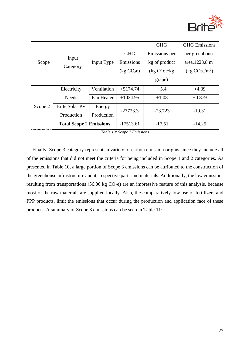

|         |                                |             |                        | <b>GHG</b>                | <b>GHG</b> Emissions                   |
|---------|--------------------------------|-------------|------------------------|---------------------------|----------------------------------------|
| Scope   | Input                          |             | <b>GHG</b>             | Emissions per             | per greenhouse                         |
|         |                                | Input Type  | Emissions              | kg of product             | area, 1228,8 m <sup>2</sup>            |
|         | Category                       |             | (kg CO <sub>2</sub> e) | (kg CO <sub>2</sub> e/kg) | (kg CO <sub>2</sub> e/m <sup>2</sup> ) |
|         |                                |             |                        | grape)                    |                                        |
|         | Electricity                    | Ventilation | $+5174.74$             | $+5.4$                    | $+4.39$                                |
|         | <b>Needs</b>                   | Fan Heater  | $+1034.95$             | $+1.08$                   | $+0.879$                               |
| Scope 2 | <b>Brite Solar PV</b>          | Energy      | $-23723.3$             | $-23.723$                 | $-19.31$                               |
|         | Production                     | Production  |                        |                           |                                        |
|         | <b>Total Scope 2 Emissions</b> |             | $-17513.61$            | $-17.51$                  | $-14.25$                               |

*Table 10: Scope 2 Emissions*

Finally, Scope 3 category represents a variety of carbon emission origins since they include all of the emissions that did not meet the criteria for being included in Scope 1 and 2 categories. As presented in Table 10, a large portion of Scope 3 emissions can be attributed to the construction of the greenhouse infrastructure and its respective parts and materials. Additionally, the low emissions resulting from transportations (56.06 kg  $CO<sub>2</sub>e$ ) are an impressive feature of this analysis, because most of the raw materials are supplied locally. Also, the comparatively low use of fertilizers and PPP products, limit the emissions that occur during the production and application face of these products. A summary of Scope 3 emissions can be seen in Table 11: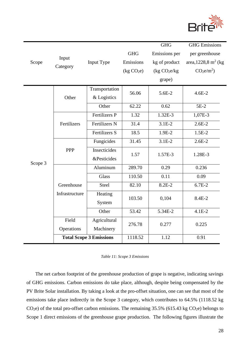

|         |                |                                |                        | <b>GHG</b>                | <b>GHG</b> Emissions               |  |
|---------|----------------|--------------------------------|------------------------|---------------------------|------------------------------------|--|
|         |                |                                | <b>GHG</b>             | Emissions per             | per greenhouse                     |  |
| Scope   | Input          | Input Type                     | Emissions              | kg of product             | area, 1228,8 m <sup>2</sup> (kg)   |  |
|         | Category       |                                | (kg CO <sub>2</sub> e) | (kg CO <sub>2</sub> e/kg) | CO <sub>2</sub> e/m <sup>2</sup> ) |  |
|         |                |                                |                        | grape)                    |                                    |  |
|         |                | Transportation                 | 56.06                  | 5.6E-2                    | $4.6E - 2$                         |  |
|         | Other          | & Logistics                    |                        |                           |                                    |  |
|         |                | Other                          | 62.22                  | 0.62                      | $5E-2$                             |  |
|         |                | <b>Fertilizers P</b>           | 1.32                   | 1.32E-3                   | 1,07E-3                            |  |
|         | Fertilizers    | Fertilizers N                  | 31.4                   | $3.1E-2$                  | $2.6E-2$                           |  |
|         |                | Fertilizers S                  | 18.5                   | 1.9E-2                    | $1.5E-2$                           |  |
|         |                | Fungicides                     | 31.45                  | $3.1E-2$                  | $2.6E-2$                           |  |
|         | PPP            | Insecticides                   | 1.57                   | 1.57E-3                   | 1.28E-3                            |  |
| Scope 3 |                | <b>&amp;Pesticides</b>         |                        |                           |                                    |  |
|         |                | Aluminum                       | 289.70                 | 0.29                      | 0.236                              |  |
|         |                | Glass                          | 110.50                 | 0.11                      | 0.09                               |  |
|         | Greenhouse     | <b>Steel</b>                   | 82.10                  | 8.2E-2                    | $6.7E-2$                           |  |
|         | Infrastructure | Heating                        | 103.50                 | 0,104                     | 8.4E-2                             |  |
|         |                | System                         |                        |                           |                                    |  |
|         |                | Other                          | 53.42                  | 5.34E-2                   | $4.1E-2$                           |  |
|         | Field          | Agricultural                   | 276.78                 | 0.277                     | 0.225                              |  |
|         | Operations     | Machinery                      |                        |                           |                                    |  |
|         |                | <b>Total Scope 3 Emissions</b> | 1118.52                | 1.12                      | 0.91                               |  |

|  |  | Table 11: Scope 3 Emissions |
|--|--|-----------------------------|
|--|--|-----------------------------|

The net carbon footprint of the greenhouse production of grape is negative, indicating savings of GHG emissions. Carbon emissions do take place, although, despite being compensated by the PV Brite Solar installation. By taking a look at the pro-offset situation, one can see that most of the emissions take place indirectly in the Scope 3 category, which contributes to 64.5% (1118.52 kg  $CO<sub>2</sub>e$ ) of the total pro-offset carbon emissions. The remaining 35.5% (615.43 kg  $CO<sub>2</sub>e$ ) belongs to Scope 1 direct emissions of the greenhouse grape production. The following figures illustrate the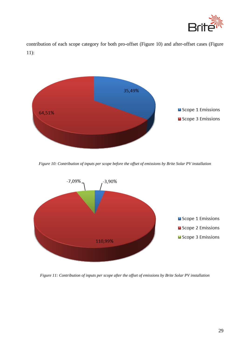

contribution of each scope category for both pro-offset (Figure 10) and after-offset cases (Figure 11):



*Figure 10: Contribution of inputs per scope before the offset of emissions by Brite Solar PV installation*



*Figure 11: Contribution of inputs per scope after the offset of emissions by Brite Solar PV installation*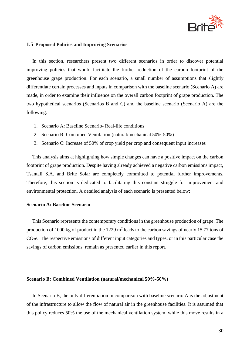

### <span id="page-30-0"></span>**1.5 Proposed Policies and Improving Scenarios**

In this section, researchers present two different scenarios in order to discover potential improving policies that would facilitate the further reduction of the carbon footprint of the greenhouse grape production. For each scenario, a small number of assumptions that slightly differentiate certain processes and inputs in comparison with the baseline scenario (Scenario A) are made, in order to examine their influence on the overall carbon footprint of grape production. The two hypothetical scenarios (Scenarios B and C) and the baseline scenario (Scenario A) are the following:

- 1. Scenario Α: Baseline Scenario- Real-life conditions
- 2. Scenario Β: Combined Ventilation (natural/mechanical 50%-50%)
- 3. Scenario C: Increase of 50% of crop yield per crop and consequent input increases

This analysis aims at highlighting how simple changes can have a positive impact on the carbon footprint of grape production. Despite having already achieved a negative carbon emissions impact, Tsantali S.A. and Brite Solar are completely committed to potential further improvements. Therefore, this section is dedicated to facilitating this constant struggle for improvement and environmental protection. A detailed analysis of each scenario is presented below:

### <span id="page-30-1"></span>**Scenario A: Baseline Scenario**

This Scenario represents the contemporary conditions in the greenhouse production of grape. The production of 1000 kg of product in the 1229  $m^2$  leads to the carbon savings of nearly 15.77 tons of CO<sub>2</sub>e. The respective emissions of different input categories and types, or in this particular case the savings of carbon emissions, remain as presented earlier in this report.

### <span id="page-30-2"></span>**Scenario Β: Combined Ventilation (natural/mechanical 50%-50%)**

In Scenario B, the only differentiation in comparison with baseline scenario A is the adjustment of the infrastructure to allow the flow of natural air in the greenhouse facilities. It is assumed that this policy reduces 50% the use of the mechanical ventilation system, while this move results in a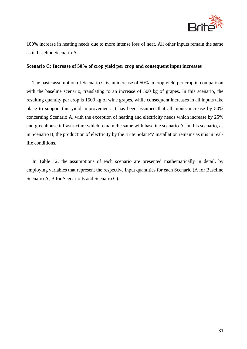

100% increase in heating needs due to more intense loss of heat. All other inputs remain the same as in baseline Scenario A.

### <span id="page-31-0"></span>**Scenario C: Increase of 50% of crop yield per crop and consequent input increases**

The basic assumption of Scenario C is an increase of 50% in crop yield per crop in comparison with the baseline scenario, translating to an increase of 500 kg of grapes. In this scenario, the resulting quantity per crop is 1500 kg of wine grapes, while consequent increases in all inputs take place to support this yield improvement. It has been assumed that all inputs increase by 50% concerning Scenario A, with the exception of heating and electricity needs which increase by 25% and greenhouse infrastructure which remain the same with baseline scenario A. In this scenario, as in Scenario B, the production of electricity by the Brite Solar PV installation remains as it is in reallife conditions.

In Table 12, the assumptions of each scenario are presented mathematically in detail, by employing variables that represent the respective input quantities for each Scenario (A for Baseline Scenario A, B for Scenario B and Scenario C).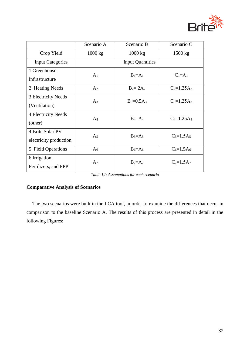

|                         | Scenario A              | Scenario B     | Scenario C        |  |
|-------------------------|-------------------------|----------------|-------------------|--|
| Crop Yield              | 1000 kg                 | 1000 kg        | $1500 \text{ kg}$ |  |
| <b>Input Categories</b> | <b>Input Quantities</b> |                |                   |  |
| 1.Greenhouse            | A <sub>1</sub>          | $B_1=A_1$      | $C_1=A_1$         |  |
| Infrastructure          |                         |                |                   |  |
| 2. Heating Needs        | A <sub>2</sub>          | $B_2 = 2A_2$   | $C_2 = 1.25A_2$   |  |
| 3. Electricity Needs    | $A_3$                   | $B_3 = 0.5A_3$ | $C_3 = 1.25A_3$   |  |
| (Ventilation)           |                         |                |                   |  |
| 4. Electricity Needs    | $A_4$                   | $B_4 = A_4$    | $C_4 = 1.25A_4$   |  |
| (other)                 |                         |                |                   |  |
| 4. Brite Solar PV       | A <sub>5</sub>          | $B_5 = A_5$    | $C_5 = 1.5A_5$    |  |
| electricity production  |                         |                |                   |  |
| 5. Field Operations     | A <sub>6</sub>          | $B_6 = A_6$    | $C_6 = 1.5A_6$    |  |
| 6.Irrigation,           | A <sub>7</sub>          | $B_7 = A_7$    | $C_7 = 1.5A_7$    |  |
| Fertilizers, and PPP    |                         |                |                   |  |

*Table 12: Assumptions for each scenario*

### <span id="page-32-0"></span>**Comparative Analysis of Scenarios**

The two scenarios were built in the LCA tool, in order to examine the differences that occur in comparison to the baseline Scenario A. The results of this process are presented in detail in the following Figures: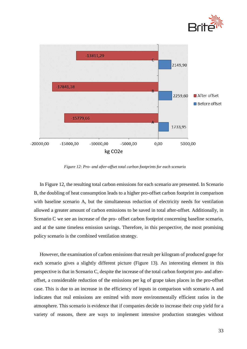



*Figure 12: Pro- and after-offset total carbon footprints for each scenario*

In Figure 12, the resulting total carbon emissions for each scenario are presented. In Scenario B, the doubling of heat consumption leads to a higher pro-offset carbon footprint in comparison with baseline scenario A, but the simultaneous reduction of electricity needs for ventilation allowed a greater amount of carbon emissions to be saved in total after-offset. Additionally, in Scenario C we see an increase of the pro- offset carbon footprint concerning baseline scenario, and at the same timeless emission savings. Therefore, in this perspective, the most promising policy scenario is the combined ventilation strategy.

However, the examination of carbon emissions that result per kilogram of produced grape for each scenario gives a slightly different picture (Figure 13). An interesting element in this perspective is that in Scenario C, despite the increase of the total carbon footprint pro- and afteroffset, a considerable reduction of the emissions per kg of grape takes places in the pro-offset case. This is due to an increase in the efficiency of inputs in comparison with scenario A and indicates that real emissions are emitted with more environmentally efficient ratios in the atmosphere. This scenario is evidence that if companies decide to increase their crop yield for a variety of reasons, there are ways to implement intensive production strategies without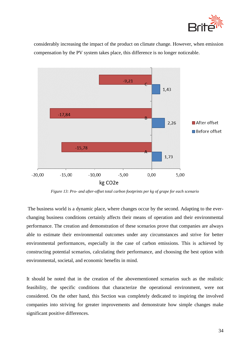

considerably increasing the impact of the product on climate change. However, when emission compensation by the PV system takes place, this difference is no longer noticeable.



*Figure 13: Pro- and after-offset total carbon footprints per kg of grape for each scenario*

The business world is a dynamic place, where changes occur by the second. Adapting to the everchanging business conditions certainly affects their means of operation and their environmental performance. The creation and demonstration of these scenarios prove that companies are always able to estimate their environmental outcomes under any circumstances and strive for better environmental performances, especially in the case of carbon emissions. This is achieved by constructing potential scenarios, calculating their performance, and choosing the best option with environmental, societal, and economic benefits in mind.

It should be noted that in the creation of the abovementioned scenarios such as the realistic feasibility, the specific conditions that characterize the operational environment, were not considered. On the other hand, this Section was completely dedicated to inspiring the involved companies into striving for greater improvements and demonstrate how simple changes make significant positive differences.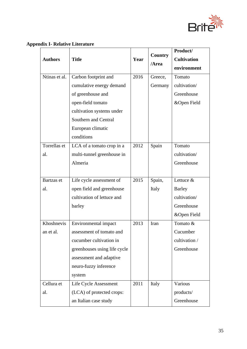

## <span id="page-35-0"></span>**Appendix I- Relative Literature**

| <b>Authors</b> | <b>Title</b>                 | Year | <b>Country</b><br>/Area | Product/<br><b>Cultivation</b><br>environment |
|----------------|------------------------------|------|-------------------------|-----------------------------------------------|
| Ntinas et al.  | Carbon footprint and         | 2016 | Greece,                 | Tomato                                        |
|                | cumulative energy demand     |      | Germany                 | cultivation/                                  |
|                | of greenhouse and            |      |                         | Greenhouse                                    |
|                | open-field tomato            |      |                         | &Open Field                                   |
|                | cultivation systems under    |      |                         |                                               |
|                | Southern and Central         |      |                         |                                               |
|                | European climatic            |      |                         |                                               |
|                | conditions                   |      |                         |                                               |
| Torrellas et   | LCA of a tomato crop in a    | 2012 | Spain                   | Tomato                                        |
| al.            | multi-tunnel greenhouse in   |      |                         | cultivation/                                  |
|                | Almeria                      |      |                         | Greenhouse                                    |
|                |                              |      |                         |                                               |
| Bartzas et     | Life cycle assessment of     | 2015 | Spain,                  | Lettuce &                                     |
| al.            | open field and greenhouse    |      | Italy                   | <b>Barley</b>                                 |
|                | cultivation of lettuce and   |      |                         | cultivation/                                  |
|                | barley                       |      |                         | Greenhouse                                    |
|                |                              |      |                         | &Open Field                                   |
| Khoshnevis     | Environmental impact         | 2013 | Iran                    | Tomato &                                      |
| an et al.      | assessment of tomato and     |      |                         | Cucumber                                      |
|                | cucumber cultivation in      |      |                         | cultivation /                                 |
|                | greenhouses using life cycle |      |                         | Greenhouse                                    |
|                | assessment and adaptive      |      |                         |                                               |
|                | neuro-fuzzy inference        |      |                         |                                               |
|                | system                       |      |                         |                                               |
| Cellura et     | Life Cycle Assessment        | 2011 | Italy                   | Various                                       |
| al.            | (LCA) of protected crops:    |      |                         | products/                                     |
|                | an Italian case study        |      |                         | Greenhouse                                    |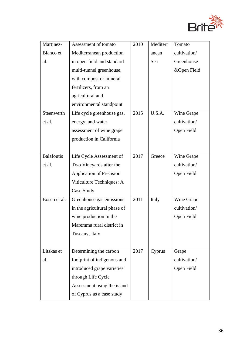

| Martinez-         | Assessment of tomato            | 2010 | Mediterr | Tomato       |
|-------------------|---------------------------------|------|----------|--------------|
| Blanco et         | Mediterranean production        |      | anean    | cultivation/ |
| al.               | in open-field and standard      |      | Sea      | Greenhouse   |
|                   | multi-tunnel greenhouse,        |      |          | &Open Field  |
|                   | with compost or mineral         |      |          |              |
|                   | fertilizers, from an            |      |          |              |
|                   | agricultural and                |      |          |              |
|                   | environmental standpoint        |      |          |              |
| Steenwerth        | Life cycle greenhouse gas,      | 2015 | U.S.A.   | Wine Grape   |
| et al.            | energy, and water               |      |          | cultivation/ |
|                   | assessment of wine grape        |      |          | Open Field   |
|                   | production in California        |      |          |              |
|                   |                                 |      |          |              |
| <b>Balafoutis</b> | Life Cycle Assessment of        | 2017 | Greece   | Wine Grape   |
| et al.            | Two Vineyards after the         |      |          | cultivation/ |
|                   | <b>Application of Precision</b> |      |          | Open Field   |
|                   | Viticulture Techniques: A       |      |          |              |
|                   | Case Study                      |      |          |              |
| Bosco et al.      | Greenhouse gas emissions        | 2011 | Italy    | Wine Grape   |
|                   | in the agricultural phase of    |      |          | cultivation/ |
|                   | wine production in the          |      |          | Open Field   |
|                   | Maremma rural district in       |      |          |              |
|                   | Tuscany, Italy                  |      |          |              |
|                   |                                 |      |          |              |
| Litskas et        | Determining the carbon          | 2017 | Cyprus   | Grape        |
| al.               | footprint of indigenous and     |      |          | cultivation/ |
|                   | introduced grape varieties      |      |          | Open Field   |
|                   | through Life Cycle              |      |          |              |
|                   | Assessment using the island     |      |          |              |
|                   | of Cyprus as a case study       |      |          |              |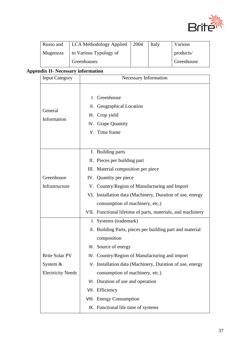

| Russo and | LCA Methodology Applied | 2004 | Italy | Various    |
|-----------|-------------------------|------|-------|------------|
| Mugnozza  | to Various Typology of  |      |       | products/  |
|           | Greenhouses             |      |       | Greenhouse |

# <span id="page-37-0"></span>**Appendix ΙΙ- Necessary information**

| <b>Input Category</b>    | Necessary Information                                                                                   |  |  |
|--------------------------|---------------------------------------------------------------------------------------------------------|--|--|
| General<br>Information   | Greenhouse<br>L.<br>II. Geographical Location<br>III. Crop yield<br>IV. Grape Quantity<br>V. Time frame |  |  |
|                          | I. Building parts                                                                                       |  |  |
|                          | II. Pieces per building part                                                                            |  |  |
|                          | III. Material composition per piece                                                                     |  |  |
| Greenhouse               | IV. Quantity per piece                                                                                  |  |  |
| Infrastructure           | V. Country/Region of Manufacturing and Import                                                           |  |  |
|                          | VI. Installation data (Machinery, Duration of use, energy                                               |  |  |
|                          | consumption of machinery, etc.)                                                                         |  |  |
|                          | VII. Functional lifetime of parts, materials, and machinery                                             |  |  |
|                          | I. Systems (trademark)                                                                                  |  |  |
|                          | II. Building Parts, pieces per building part and material                                               |  |  |
|                          | composition                                                                                             |  |  |
|                          | III. Source of energy                                                                                   |  |  |
| <b>Brite Solar PV</b>    | IV. Country/Region of Manufacturing and import                                                          |  |  |
| System $&$               | V. Installation data (Machinery, Duration of use, energy                                                |  |  |
| <b>Electricity Needs</b> | consumption of machinery, etc.)                                                                         |  |  |
|                          | VI. Duration of use and operation                                                                       |  |  |
|                          | VII. Efficiency                                                                                         |  |  |
|                          | VIII. Energy Consumption                                                                                |  |  |
|                          | IX. Functional life time of systems                                                                     |  |  |